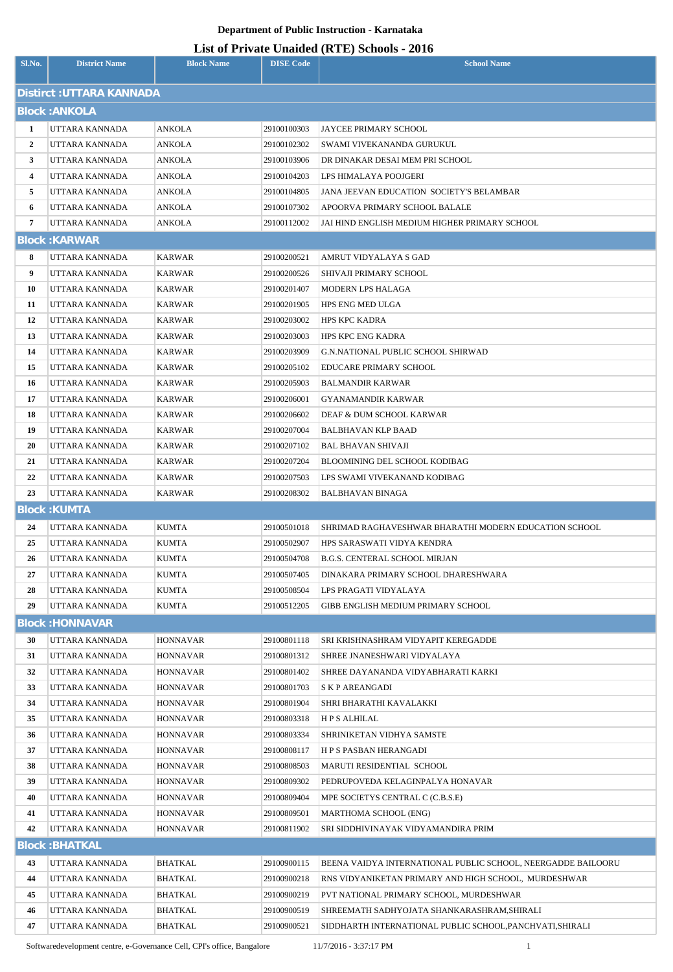## **Department of Public Instruction - Karnataka**

| List of Private Unaided (RTE) Schools - 2016 |
|----------------------------------------------|
|----------------------------------------------|

| Distirct : UTTARA KANNADA<br><b>Block: ANKOLA</b><br>$\mathbf{1}$<br>UTTARA KANNADA<br>ANKOLA<br>29100100303<br>JAYCEE PRIMARY SCHOOL<br>$\overline{2}$<br>UTTARA KANNADA<br>ANKOLA<br>29100102302<br>SWAMI VIVEKANANDA GURUKUL<br>3<br>UTTARA KANNADA<br>ANKOLA<br>29100103906<br>DR DINAKAR DESAI MEM PRI SCHOOL<br>4<br>UTTARA KANNADA<br>ANKOLA<br>29100104203<br>LPS HIMALAYA POOJGERI<br>5<br>UTTARA KANNADA<br>ANKOLA<br><b>JANA JEEVAN EDUCATION SOCIETY'S BELAMBAR</b><br>29100104805<br>6<br>UTTARA KANNADA<br>ANKOLA<br>29100107302<br>APOORVA PRIMARY SCHOOL BALALE<br>7<br>ANKOLA<br>JAI HIND ENGLISH MEDIUM HIGHER PRIMARY SCHOOL<br>UTTARA KANNADA<br>29100112002<br><b>Block: KARWAR</b><br>8<br>UTTARA KANNADA<br>KARWAR<br>29100200521<br>AMRUT VIDYALAYA S GAD<br>9<br>KARWAR<br>UTTARA KANNADA<br>29100200526<br>SHIVAJI PRIMARY SCHOOL<br>10<br>UTTARA KANNADA<br>KARWAR<br>29100201407<br>MODERN LPS HALAGA<br>11<br>UTTARA KANNADA<br>KARWAR<br>29100201905<br>HPS ENG MED ULGA |  |
|--------------------------------------------------------------------------------------------------------------------------------------------------------------------------------------------------------------------------------------------------------------------------------------------------------------------------------------------------------------------------------------------------------------------------------------------------------------------------------------------------------------------------------------------------------------------------------------------------------------------------------------------------------------------------------------------------------------------------------------------------------------------------------------------------------------------------------------------------------------------------------------------------------------------------------------------------------------------------------------------------------|--|
|                                                                                                                                                                                                                                                                                                                                                                                                                                                                                                                                                                                                                                                                                                                                                                                                                                                                                                                                                                                                        |  |
|                                                                                                                                                                                                                                                                                                                                                                                                                                                                                                                                                                                                                                                                                                                                                                                                                                                                                                                                                                                                        |  |
|                                                                                                                                                                                                                                                                                                                                                                                                                                                                                                                                                                                                                                                                                                                                                                                                                                                                                                                                                                                                        |  |
|                                                                                                                                                                                                                                                                                                                                                                                                                                                                                                                                                                                                                                                                                                                                                                                                                                                                                                                                                                                                        |  |
|                                                                                                                                                                                                                                                                                                                                                                                                                                                                                                                                                                                                                                                                                                                                                                                                                                                                                                                                                                                                        |  |
|                                                                                                                                                                                                                                                                                                                                                                                                                                                                                                                                                                                                                                                                                                                                                                                                                                                                                                                                                                                                        |  |
|                                                                                                                                                                                                                                                                                                                                                                                                                                                                                                                                                                                                                                                                                                                                                                                                                                                                                                                                                                                                        |  |
|                                                                                                                                                                                                                                                                                                                                                                                                                                                                                                                                                                                                                                                                                                                                                                                                                                                                                                                                                                                                        |  |
|                                                                                                                                                                                                                                                                                                                                                                                                                                                                                                                                                                                                                                                                                                                                                                                                                                                                                                                                                                                                        |  |
|                                                                                                                                                                                                                                                                                                                                                                                                                                                                                                                                                                                                                                                                                                                                                                                                                                                                                                                                                                                                        |  |
|                                                                                                                                                                                                                                                                                                                                                                                                                                                                                                                                                                                                                                                                                                                                                                                                                                                                                                                                                                                                        |  |
|                                                                                                                                                                                                                                                                                                                                                                                                                                                                                                                                                                                                                                                                                                                                                                                                                                                                                                                                                                                                        |  |
|                                                                                                                                                                                                                                                                                                                                                                                                                                                                                                                                                                                                                                                                                                                                                                                                                                                                                                                                                                                                        |  |
|                                                                                                                                                                                                                                                                                                                                                                                                                                                                                                                                                                                                                                                                                                                                                                                                                                                                                                                                                                                                        |  |
| 12<br>UTTARA KANNADA<br>KARWAR<br>29100203002<br>HPS KPC KADRA                                                                                                                                                                                                                                                                                                                                                                                                                                                                                                                                                                                                                                                                                                                                                                                                                                                                                                                                         |  |
| 13<br>UTTARA KANNADA<br>KARWAR<br>29100203003<br>HPS KPC ENG KADRA                                                                                                                                                                                                                                                                                                                                                                                                                                                                                                                                                                                                                                                                                                                                                                                                                                                                                                                                     |  |
| 14<br>UTTARA KANNADA<br>KARWAR<br>29100203909<br>G.N.NATIONAL PUBLIC SCHOOL SHIRWAD                                                                                                                                                                                                                                                                                                                                                                                                                                                                                                                                                                                                                                                                                                                                                                                                                                                                                                                    |  |
| 15<br>UTTARA KANNADA<br>KARWAR<br>29100205102<br>EDUCARE PRIMARY SCHOOL                                                                                                                                                                                                                                                                                                                                                                                                                                                                                                                                                                                                                                                                                                                                                                                                                                                                                                                                |  |
| 16<br>UTTARA KANNADA<br>KARWAR<br>29100205903<br>BALMANDIR KARWAR                                                                                                                                                                                                                                                                                                                                                                                                                                                                                                                                                                                                                                                                                                                                                                                                                                                                                                                                      |  |
| 17<br>UTTARA KANNADA<br>KARWAR<br>29100206001<br>GYANAMANDIR KARWAR                                                                                                                                                                                                                                                                                                                                                                                                                                                                                                                                                                                                                                                                                                                                                                                                                                                                                                                                    |  |
| 18<br>UTTARA KANNADA<br>KARWAR<br>29100206602<br>DEAF & DUM SCHOOL KARWAR                                                                                                                                                                                                                                                                                                                                                                                                                                                                                                                                                                                                                                                                                                                                                                                                                                                                                                                              |  |
| 19<br>UTTARA KANNADA<br>KARWAR<br>29100207004<br>BALBHAVAN KLP BAAD                                                                                                                                                                                                                                                                                                                                                                                                                                                                                                                                                                                                                                                                                                                                                                                                                                                                                                                                    |  |
| 20<br>UTTARA KANNADA<br>KARWAR<br>29100207102<br>BAL BHAVAN SHIVAJI                                                                                                                                                                                                                                                                                                                                                                                                                                                                                                                                                                                                                                                                                                                                                                                                                                                                                                                                    |  |
| 21<br>UTTARA KANNADA<br><b>KARWAR</b><br>29100207204<br>BLOOMINING DEL SCHOOL KODIBAG                                                                                                                                                                                                                                                                                                                                                                                                                                                                                                                                                                                                                                                                                                                                                                                                                                                                                                                  |  |
| 22<br>UTTARA KANNADA<br>KARWAR<br>29100207503<br>LPS SWAMI VIVEKANAND KODIBAG                                                                                                                                                                                                                                                                                                                                                                                                                                                                                                                                                                                                                                                                                                                                                                                                                                                                                                                          |  |
| 23<br>UTTARA KANNADA<br>KARWAR<br>29100208302<br><b>BALBHAVAN BINAGA</b>                                                                                                                                                                                                                                                                                                                                                                                                                                                                                                                                                                                                                                                                                                                                                                                                                                                                                                                               |  |
| <b>Block: KUMTA</b>                                                                                                                                                                                                                                                                                                                                                                                                                                                                                                                                                                                                                                                                                                                                                                                                                                                                                                                                                                                    |  |
| 24<br>UTTARA KANNADA<br>KUMTA<br>29100501018<br>SHRIMAD RAGHAVESHWAR BHARATHI MODERN EDUCATION SCHOOL                                                                                                                                                                                                                                                                                                                                                                                                                                                                                                                                                                                                                                                                                                                                                                                                                                                                                                  |  |
| 25<br>UTTARA KANNADA<br>KUMTA<br>29100502907<br>HPS SARASWATI VIDYA KENDRA                                                                                                                                                                                                                                                                                                                                                                                                                                                                                                                                                                                                                                                                                                                                                                                                                                                                                                                             |  |
| 26<br>UTTARA KANNADA<br>KUMTA<br>29100504708<br>B.G.S. CENTERAL SCHOOL MIRJAN                                                                                                                                                                                                                                                                                                                                                                                                                                                                                                                                                                                                                                                                                                                                                                                                                                                                                                                          |  |
| 27<br>UTTARA KANNADA<br>KUMTA<br>29100507405<br>DINAKARA PRIMARY SCHOOL DHARESHWARA                                                                                                                                                                                                                                                                                                                                                                                                                                                                                                                                                                                                                                                                                                                                                                                                                                                                                                                    |  |
| 28<br>UTTARA KANNADA<br>KUMTA<br>LPS PRAGATI VIDYALAYA<br>29100508504                                                                                                                                                                                                                                                                                                                                                                                                                                                                                                                                                                                                                                                                                                                                                                                                                                                                                                                                  |  |
| 29<br>UTTARA KANNADA<br>KUMTA<br>GIBB ENGLISH MEDIUM PRIMARY SCHOOL<br>29100512205                                                                                                                                                                                                                                                                                                                                                                                                                                                                                                                                                                                                                                                                                                                                                                                                                                                                                                                     |  |
| <b>Block: HONNAVAR</b>                                                                                                                                                                                                                                                                                                                                                                                                                                                                                                                                                                                                                                                                                                                                                                                                                                                                                                                                                                                 |  |
| 29100801118<br>30<br>UTTARA KANNADA<br>HONNAVAR<br>SRI KRISHNASHRAM VIDYAPIT KEREGADDE                                                                                                                                                                                                                                                                                                                                                                                                                                                                                                                                                                                                                                                                                                                                                                                                                                                                                                                 |  |
| 31<br>UTTARA KANNADA<br>SHREE JNANESHWARI VIDYALAYA<br>HONNAVAR<br>29100801312                                                                                                                                                                                                                                                                                                                                                                                                                                                                                                                                                                                                                                                                                                                                                                                                                                                                                                                         |  |
| 32<br>UTTARA KANNADA<br><b>HONNAVAR</b><br>29100801402<br>SHREE DAYANANDA VIDYABHARATI KARKI                                                                                                                                                                                                                                                                                                                                                                                                                                                                                                                                                                                                                                                                                                                                                                                                                                                                                                           |  |
| 33<br>UTTARA KANNADA<br>29100801703<br><b>S K P AREANGADI</b><br>HONNAVAR                                                                                                                                                                                                                                                                                                                                                                                                                                                                                                                                                                                                                                                                                                                                                                                                                                                                                                                              |  |
| 34<br>UTTARA KANNADA<br>SHRI BHARATHI KAVALAKKI<br>HONNAVAR<br>29100801904                                                                                                                                                                                                                                                                                                                                                                                                                                                                                                                                                                                                                                                                                                                                                                                                                                                                                                                             |  |
| 35<br>UTTARA KANNADA<br>HONNAVAR<br>29100803318<br>H P S ALHILAL                                                                                                                                                                                                                                                                                                                                                                                                                                                                                                                                                                                                                                                                                                                                                                                                                                                                                                                                       |  |
| 36<br>UTTARA KANNADA<br>HONNAVAR<br>29100803334<br>SHRINIKETAN VIDHYA SAMSTE                                                                                                                                                                                                                                                                                                                                                                                                                                                                                                                                                                                                                                                                                                                                                                                                                                                                                                                           |  |
| 37<br>UTTARA KANNADA<br>HONNAVAR<br>29100808117<br>H P S PASBAN HERANGADI                                                                                                                                                                                                                                                                                                                                                                                                                                                                                                                                                                                                                                                                                                                                                                                                                                                                                                                              |  |
| 38<br>MARUTI RESIDENTIAL SCHOOL<br>UTTARA KANNADA<br>HONNAVAR<br>29100808503                                                                                                                                                                                                                                                                                                                                                                                                                                                                                                                                                                                                                                                                                                                                                                                                                                                                                                                           |  |
| 39<br>UTTARA KANNADA<br>29100809302<br>PEDRUPOVEDA KELAGINPALYA HONAVAR<br>HONNAVAR                                                                                                                                                                                                                                                                                                                                                                                                                                                                                                                                                                                                                                                                                                                                                                                                                                                                                                                    |  |
| 40<br>29100809404<br>MPE SOCIETYS CENTRAL C (C.B.S.E)<br>UTTARA KANNADA<br>HONNAVAR                                                                                                                                                                                                                                                                                                                                                                                                                                                                                                                                                                                                                                                                                                                                                                                                                                                                                                                    |  |
| 41<br>UTTARA KANNADA<br>HONNAVAR<br>29100809501<br>MARTHOMA SCHOOL (ENG)                                                                                                                                                                                                                                                                                                                                                                                                                                                                                                                                                                                                                                                                                                                                                                                                                                                                                                                               |  |
| 42<br>UTTARA KANNADA<br>SRI SIDDHIVINAYAK VIDYAMANDIRA PRIM<br>HONNAVAR<br>29100811902<br><b>Block: BHATKAL</b>                                                                                                                                                                                                                                                                                                                                                                                                                                                                                                                                                                                                                                                                                                                                                                                                                                                                                        |  |
|                                                                                                                                                                                                                                                                                                                                                                                                                                                                                                                                                                                                                                                                                                                                                                                                                                                                                                                                                                                                        |  |
| 43<br>UTTARA KANNADA<br>BHATKAL<br>29100900115<br>BEENA VAIDYA INTERNATIONAL PUBLIC SCHOOL, NEERGADDE BAILOORU                                                                                                                                                                                                                                                                                                                                                                                                                                                                                                                                                                                                                                                                                                                                                                                                                                                                                         |  |
| 44<br>UTTARA KANNADA<br>BHATKAL<br>RNS VIDYANIKETAN PRIMARY AND HIGH SCHOOL, MURDESHWAR<br>29100900218<br>45<br>UTTARA KANNADA<br>BHATKAL<br>PVT NATIONAL PRIMARY SCHOOL, MURDESHWAR                                                                                                                                                                                                                                                                                                                                                                                                                                                                                                                                                                                                                                                                                                                                                                                                                   |  |
| 29100900219<br>BHATKAL<br>29100900519<br>SHREEMATH SADHYOJATA SHANKARASHRAM, SHIRALI<br>46<br>UTTARA KANNADA                                                                                                                                                                                                                                                                                                                                                                                                                                                                                                                                                                                                                                                                                                                                                                                                                                                                                           |  |
| 47<br>BHATKAL<br>29100900521<br>UTTARA KANNADA<br>SIDDHARTH INTERNATIONAL PUBLIC SCHOOL,PANCHVATI,SHIRALI                                                                                                                                                                                                                                                                                                                                                                                                                                                                                                                                                                                                                                                                                                                                                                                                                                                                                              |  |